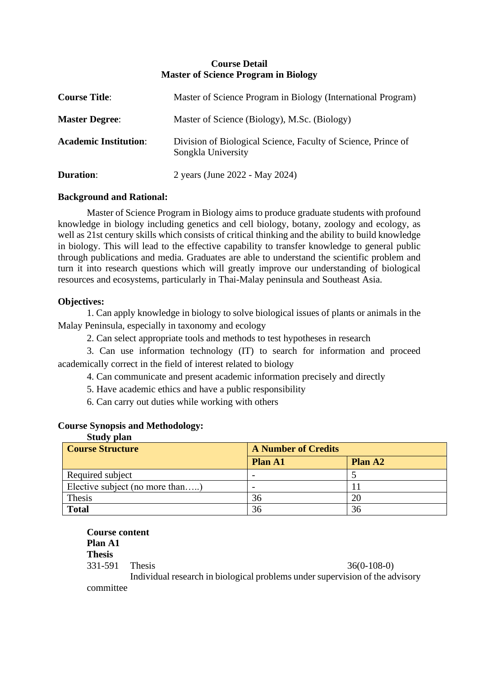### **Course Detail Master of Science Program in Biology**

| <b>Course Title:</b>         | Master of Science Program in Biology (International Program)                        |
|------------------------------|-------------------------------------------------------------------------------------|
| <b>Master Degree:</b>        | Master of Science (Biology), M.Sc. (Biology)                                        |
| <b>Academic Institution:</b> | Division of Biological Science, Faculty of Science, Prince of<br>Songkla University |
| <b>Duration:</b>             | 2 years (June 2022 - May 2024)                                                      |

### **Background and Rational:**

Master of Science Program in Biology aims to produce graduate students with profound knowledge in biology including genetics and cell biology, botany, zoology and ecology, as well as 21st century skills which consists of critical thinking and the ability to build knowledge in biology. This will lead to the effective capability to transfer knowledge to general public through publications and media. Graduates are able to understand the scientific problem and turn it into research questions which will greatly improve our understanding of biological resources and ecosystems, particularly in Thai-Malay peninsula and Southeast Asia.

### **Objectives:**

1. Can apply knowledge in biology to solve biological issues of plants or animals in the Malay Peninsula, especially in taxonomy and ecology

2. Can select appropriate tools and methods to test hypotheses in research

3. Can use information technology (IT) to search for information and proceed academically correct in the field of interest related to biology

4. Can communicate and present academic information precisely and directly

- 5. Have academic ethics and have a public responsibility
- 6. Can carry out duties while working with others

### **Course Synopsis and Methodology: Study plan**

| <b>Course Structure</b>         | <b>A Number of Credits</b> |                |
|---------------------------------|----------------------------|----------------|
|                                 | <b>Plan A1</b>             | <b>Plan A2</b> |
| Required subject                |                            |                |
| Elective subject (no more than) | $\overline{\phantom{0}}$   |                |
| Thesis                          | 36                         | 20             |
| <b>Total</b>                    | 36                         | 36             |

### **Course content**

| Plan A1       |               |                                                                              |
|---------------|---------------|------------------------------------------------------------------------------|
| <b>Thesis</b> |               |                                                                              |
| 331-591       | <b>Thesis</b> | $36(0-108-0)$                                                                |
|               |               | Individual research in biological problems under supervision of the advisory |
| committee     |               |                                                                              |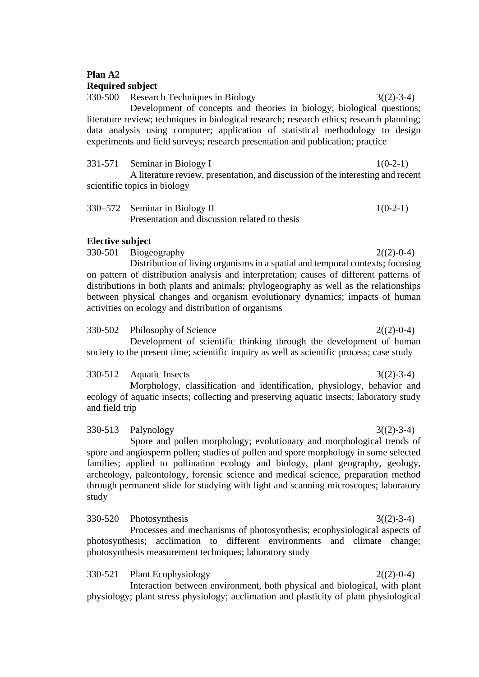# **Plan A2**

### **Required subject**

330-500 Research Techniques in Biology 3((2)-3-4) Development of concepts and theories in biology; biological questions; literature review; techniques in biological research; research ethics; research planning; data analysis using computer; application of statistical methodology to design experiments and field surveys; research presentation and publication; practice

| 331-571 Seminar in Biology I | $1(0-2-1)$                                                                      |
|------------------------------|---------------------------------------------------------------------------------|
|                              | A literature review, presentation, and discussion of the interesting and recent |
| scientific topics in biology |                                                                                 |

 $330-572$  Seminar in Biology II  $1(0-2-1)$ Presentation and discussion related to thesis

# **Elective subject**

330-501 Biogeography  $2(2)$ -0-4)

Distribution of living organisms in a spatial and temporal contexts; focusing on pattern of distribution analysis and interpretation; causes of different patterns of distributions in both plants and animals; phylogeography as well as the relationships between physical changes and organism evolutionary dynamics; impacts of human activities on ecology and distribution of organisms

 $330-502$  Philosophy of Science  $2((2)-0-4)$ 

Development of scientific thinking through the development of human society to the present time; scientific inquiry as well as scientific process; case study

### 330-512 Aquatic Insects 3((2)-3-4)

study

Morphology, classification and identification, physiology, behavior and ecology of aquatic insects; collecting and preserving aquatic insects; laboratory study and field trip

# 330-513 Palynology 3((2)-3-4) Spore and pollen morphology; evolutionary and morphological trends of spore and angiosperm pollen; studies of pollen and spore morphology in some selected families; applied to pollination ecology and biology, plant geography, geology, archeology, paleontology, forensic science and medical science, preparation method through permanent slide for studying with light and scanning microscopes; laboratory

330-520 Photosynthesis 3((2)-3-4) Processes and mechanisms of photosynthesis; ecophysiological aspects of photosynthesis; acclimation to different environments and climate change; photosynthesis measurement techniques; laboratory study

330-521 Plant Ecophysiology 2((2)-0-4) Interaction between environment, both physical and biological, with plant physiology; plant stress physiology; acclimation and plasticity of plant physiological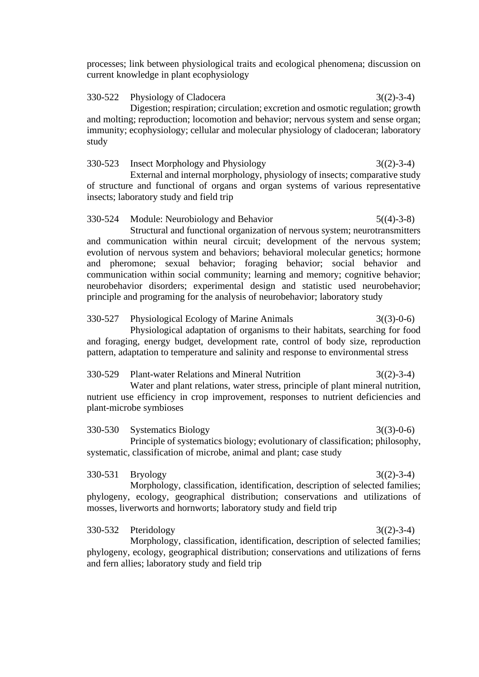processes; link between physiological traits and ecological phenomena; discussion on current knowledge in plant ecophysiology

330-522 Physiology of Cladocera 3((2)-3-4) Digestion; respiration; circulation; excretion and osmotic regulation; growth and molting; reproduction; locomotion and behavior; nervous system and sense organ; immunity; ecophysiology; cellular and molecular physiology of cladoceran; laboratory study

 $330-523$  Insect Morphology and Physiology  $3(2)-3-4$ ) External and internal morphology, physiology of insects; comparative study of structure and functional of organs and organ systems of various representative insects; laboratory study and field trip

330-524 Module: Neurobiology and Behavior 5((4)-3-8)

Structural and functional organization of nervous system; neurotransmitters and communication within neural circuit; development of the nervous system; evolution of nervous system and behaviors; behavioral molecular genetics; hormone and pheromone; sexual behavior; foraging behavior; social behavior and communication within social community; learning and memory; cognitive behavior; neurobehavior disorders; experimental design and statistic used neurobehavior; principle and programing for the analysis of neurobehavior; laboratory study

330-527 Physiological Ecology of Marine Animals 3((3)-0-6) Physiological adaptation of organisms to their habitats, searching for food and foraging, energy budget, development rate, control of body size, reproduction pattern, adaptation to temperature and salinity and response to environmental stress

330-529 Plant-water Relations and Mineral Nutrition 3((2)-3-4)

Water and plant relations, water stress, principle of plant mineral nutrition, nutrient use efficiency in crop improvement, responses to nutrient deficiencies and plant-microbe symbioses

330-530 Systematics Biology 3((3)-0-6) Principle of systematics biology; evolutionary of classification; philosophy, systematic, classification of microbe, animal and plant; case study

330-531 Bryology 3((2)-3-4)

Morphology, classification, identification, description of selected families; phylogeny, ecology, geographical distribution; conservations and utilizations of mosses, liverworts and hornworts; laboratory study and field trip

### 330-532 Pteridology 3((2)-3-4)

Morphology, classification, identification, description of selected families; phylogeny, ecology, geographical distribution; conservations and utilizations of ferns and fern allies; laboratory study and field trip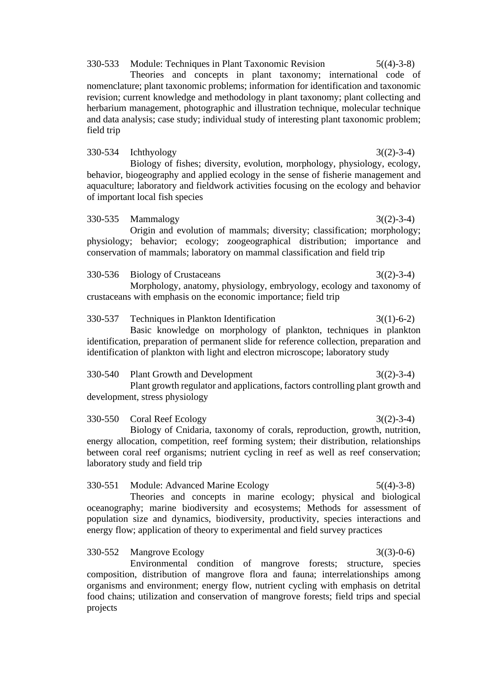330-533 Module: Techniques in Plant Taxonomic Revision 5((4)-3-8) Theories and concepts in plant taxonomy; international code of nomenclature; plant taxonomic problems; information for identification and taxonomic revision; current knowledge and methodology in plant taxonomy; plant collecting and herbarium management, photographic and illustration technique, molecular technique and data analysis; case study; individual study of interesting plant taxonomic problem; field trip

330-534 Ichthyology 3((2)-3-4)

Biology of fishes; diversity, evolution, morphology, physiology, ecology, behavior, biogeography and applied ecology in the sense of fisherie management and aquaculture; laboratory and fieldwork activities focusing on the ecology and behavior of important local fish species

330-535 Mammalogy 3((2)-3-4) Origin and evolution of mammals; diversity; classification; morphology; physiology; behavior; ecology; zoogeographical distribution; importance and conservation of mammals; laboratory on mammal classification and field trip

- 330-536 Biology of Crustaceans 3((2)-3-4) Morphology, anatomy, physiology, embryology, ecology and taxonomy of crustaceans with emphasis on the economic importance; field trip
- 330-537 Techniques in Plankton Identification 3((1)-6-2) Basic knowledge on morphology of plankton, techniques in plankton identification, preparation of permanent slide for reference collection, preparation and identification of plankton with light and electron microscope; laboratory study
- 330-540 Plant Growth and Development 3((2)-3-4) Plant growth regulator and applications, factors controlling plant growth and development, stress physiology

330-550 Coral Reef Ecology 3((2)-3-4) Biology of Cnidaria, taxonomy of corals, reproduction, growth, nutrition, energy allocation, competition, reef forming system; their distribution, relationships between coral reef organisms; nutrient cycling in reef as well as reef conservation; laboratory study and field trip

330-551 Module: Advanced Marine Ecology 5((4)-3-8) Theories and concepts in marine ecology; physical and biological oceanography; marine biodiversity and ecosystems; Methods for assessment of population size and dynamics, biodiversity, productivity, species interactions and energy flow; application of theory to experimental and field survey practices

Environmental condition of mangrove forests; structure, species composition, distribution of mangrove flora and fauna; interrelationships among organisms and environment; energy flow, nutrient cycling with emphasis on detrital food chains; utilization and conservation of mangrove forests; field trips and special projects

# 330-552 Mangrove Ecology 3((3)-0-6)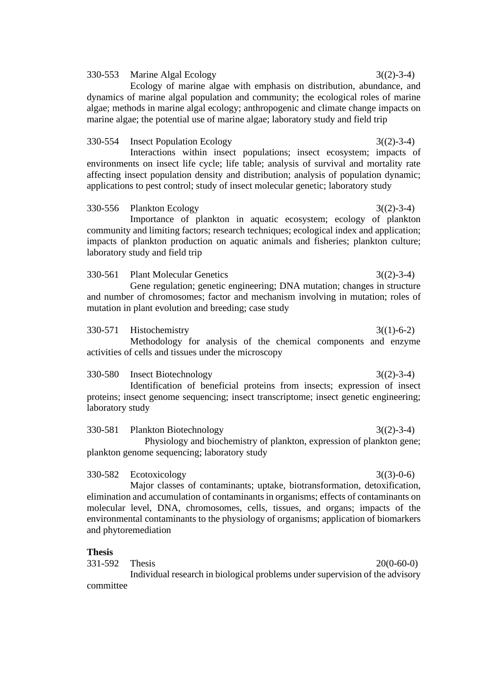### 330-553 Marine Algal Ecology 3((2)-3-4)

Ecology of marine algae with emphasis on distribution, abundance, and dynamics of marine algal population and community; the ecological roles of marine algae; methods in marine algal ecology; anthropogenic and climate change impacts on marine algae; the potential use of marine algae; laboratory study and field trip

### 330-554 Insect Population Ecology 3((2)-3-4)

Interactions within insect populations; insect ecosystem; impacts of environments on insect life cycle; life table; analysis of survival and mortality rate affecting insect population density and distribution; analysis of population dynamic; applications to pest control; study of insect molecular genetic; laboratory study

## 330-556 Plankton Ecology 3((2)-3-4) Importance of plankton in aquatic ecosystem; ecology of plankton community and limiting factors; research techniques; ecological index and application; impacts of plankton production on aquatic animals and fisheries; plankton culture; laboratory study and field trip

330-561 Plant Molecular Genetics 3((2)-3-4) Gene regulation; genetic engineering; DNA mutation; changes in structure and number of chromosomes; factor and mechanism involving in mutation; roles of mutation in plant evolution and breeding; case study

- 330-571 Histochemistry 3((1)-6-2) Methodology for analysis of the chemical components and enzyme activities of cells and tissues under the microscopy
- 330-580 Insect Biotechnology 3((2)-3-4) Identification of beneficial proteins from insects; expression of insect proteins; insect genome sequencing; insect transcriptome; insect genetic engineering; laboratory study

330-581 Plankton Biotechnology 3((2)-3-4) Physiology and biochemistry of plankton, expression of plankton gene; plankton genome sequencing; laboratory study

330-582 Ecotoxicology 3((3)-0-6)

Major classes of contaminants; uptake, biotransformation, detoxification, elimination and accumulation of contaminants in organisms; effects of contaminants on molecular level, DNA, chromosomes, cells, tissues, and organs; impacts of the environmental contaminants to the physiology of organisms; application of biomarkers and phytoremediation

## **Thesis**

331-592 Thesis 20(0-60-0) Individual research in biological problems under supervision of the advisory committee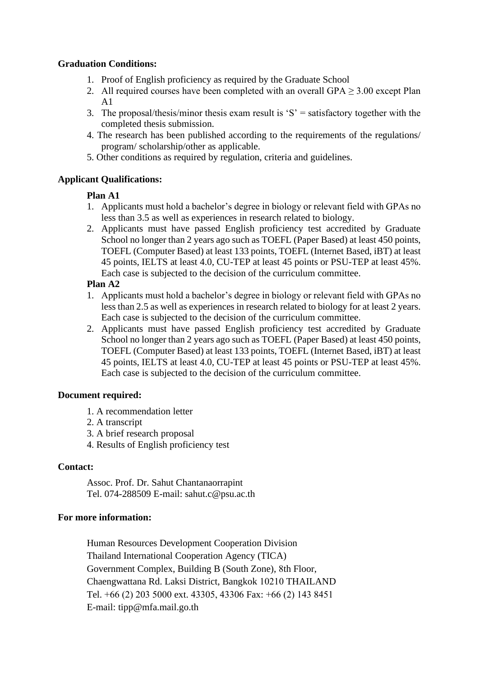# **Graduation Conditions:**

- 1. Proof of English proficiency as required by the Graduate School
- 2. All required courses have been completed with an overall  $GPA \geq 3.00$  except Plan  $A<sub>1</sub>$
- 3. The proposal/thesis/minor thesis exam result is  $S' =$  satisfactory together with the completed thesis submission.
- 4. The research has been published according to the requirements of the regulations/ program/ scholarship/other as applicable.
- 5. Other conditions as required by regulation, criteria and guidelines.

# **Applicant Qualifications:**

# **Plan A1**

- 1. Applicants must hold a bachelor's degree in biology or relevant field with GPAs no less than 3.5 as well as experiences in research related to biology.
- 2. Applicants must have passed English proficiency test accredited by Graduate School no longer than 2 years ago such as TOEFL (Paper Based) at least 450 points, TOEFL (Computer Based) at least 133 points, TOEFL (Internet Based, iBT) at least 45 points, IELTS at least 4.0, CU-TEP at least 45 points or PSU-TEP at least 45%. Each case is subjected to the decision of the curriculum committee.

# **Plan A2**

- 1. Applicants must hold a bachelor's degree in biology or relevant field with GPAs no less than 2.5 as well as experiences in research related to biology for at least 2 years. Each case is subjected to the decision of the curriculum committee.
- 2. Applicants must have passed English proficiency test accredited by Graduate School no longer than 2 years ago such as TOEFL (Paper Based) at least 450 points, TOEFL (Computer Based) at least 133 points, TOEFL (Internet Based, iBT) at least 45 points, IELTS at least 4.0, CU-TEP at least 45 points or PSU-TEP at least 45%. Each case is subjected to the decision of the curriculum committee.

# **Document required:**

- 1. A recommendation letter
- 2. A transcript
- 3. A brief research proposal
- 4. Results of English proficiency test

### **Contact:**

Assoc. Prof. Dr. Sahut Chantanaorrapint Tel. 074-288509 E-mail: sahut.c@psu.ac.th

## **For more information:**

Human Resources Development Cooperation Division Thailand International Cooperation Agency (TICA) Government Complex, Building B (South Zone), 8th Floor, Chaengwattana Rd. Laksi District, Bangkok 10210 THAILAND Tel. +66 (2) 203 5000 ext. 43305, 43306 Fax: +66 (2) 143 8451 E-mail: tipp@mfa.mail.go.th